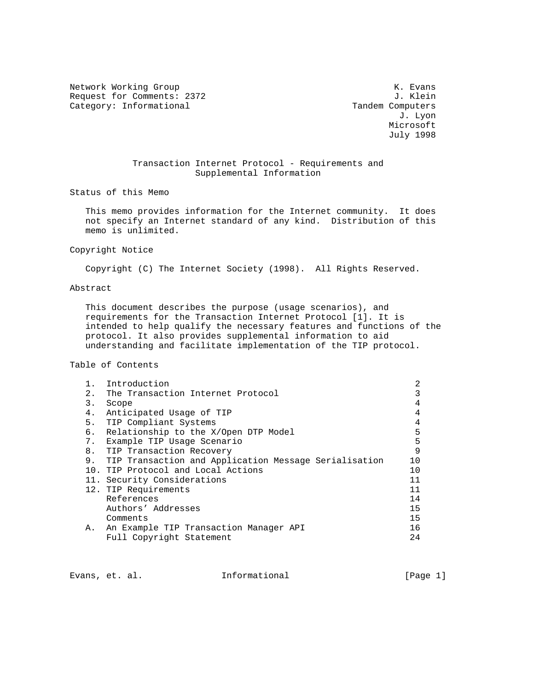Network Working Group Network Working Group Request for Comments: 2372 J. Klein<br>Category: Informational and the computers of the computers Category: Informational

 J. Lyon Microsoft July 1998

# Transaction Internet Protocol - Requirements and Supplemental Information

Status of this Memo

 This memo provides information for the Internet community. It does not specify an Internet standard of any kind. Distribution of this memo is unlimited.

Copyright Notice

Copyright (C) The Internet Society (1998). All Rights Reserved.

Abstract

 This document describes the purpose (usage scenarios), and requirements for the Transaction Internet Protocol [1]. It is intended to help qualify the necessary features and functions of the protocol. It also provides supplemental information to aid understanding and facilitate implementation of the TIP protocol.

Table of Contents

|    | Introduction                                             | 2  |  |
|----|----------------------------------------------------------|----|--|
| 2. | The Transaction Internet Protocol                        |    |  |
| 3. | Scope                                                    |    |  |
| 4. | Anticipated Usage of TIP                                 |    |  |
| 5. | TIP Compliant Systems                                    |    |  |
| б. | Relationship to the X/Open DTP Model                     |    |  |
|    | Example TIP Usage Scenario<br>7.                         |    |  |
|    | 8. TIP Transaction Recovery                              |    |  |
|    | 9. TIP Transaction and Application Message Serialisation | 10 |  |
|    | 10. TIP Protocol and Local Actions                       |    |  |
|    | 11. Security Considerations                              |    |  |
|    | 12. TIP Requirements                                     | 11 |  |
|    | References                                               | 14 |  |
|    | Authors' Addresses                                       | 15 |  |
|    | Comments                                                 | 15 |  |
|    | A. An Example TIP Transaction Manager API                | 16 |  |
|    | Full Copyright Statement                                 | 24 |  |

Evans, et. al. Informational [Page 1]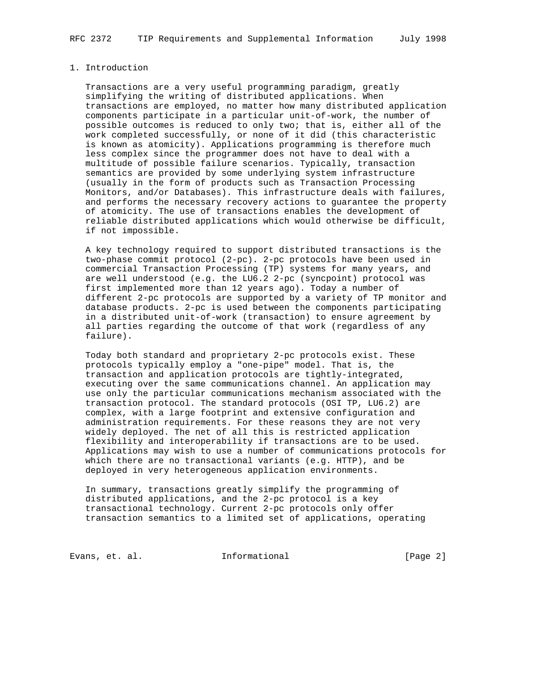### 1. Introduction

 Transactions are a very useful programming paradigm, greatly simplifying the writing of distributed applications. When transactions are employed, no matter how many distributed application components participate in a particular unit-of-work, the number of possible outcomes is reduced to only two; that is, either all of the work completed successfully, or none of it did (this characteristic is known as atomicity). Applications programming is therefore much less complex since the programmer does not have to deal with a multitude of possible failure scenarios. Typically, transaction semantics are provided by some underlying system infrastructure (usually in the form of products such as Transaction Processing Monitors, and/or Databases). This infrastructure deals with failures, and performs the necessary recovery actions to guarantee the property of atomicity. The use of transactions enables the development of reliable distributed applications which would otherwise be difficult, if not impossible.

 A key technology required to support distributed transactions is the two-phase commit protocol (2-pc). 2-pc protocols have been used in commercial Transaction Processing (TP) systems for many years, and are well understood (e.g. the LU6.2 2-pc (syncpoint) protocol was first implemented more than 12 years ago). Today a number of different 2-pc protocols are supported by a variety of TP monitor and database products. 2-pc is used between the components participating in a distributed unit-of-work (transaction) to ensure agreement by all parties regarding the outcome of that work (regardless of any failure).

 Today both standard and proprietary 2-pc protocols exist. These protocols typically employ a "one-pipe" model. That is, the transaction and application protocols are tightly-integrated, executing over the same communications channel. An application may use only the particular communications mechanism associated with the transaction protocol. The standard protocols (OSI TP, LU6.2) are complex, with a large footprint and extensive configuration and administration requirements. For these reasons they are not very widely deployed. The net of all this is restricted application flexibility and interoperability if transactions are to be used. Applications may wish to use a number of communications protocols for which there are no transactional variants (e.g. HTTP), and be deployed in very heterogeneous application environments.

 In summary, transactions greatly simplify the programming of distributed applications, and the 2-pc protocol is a key transactional technology. Current 2-pc protocols only offer transaction semantics to a limited set of applications, operating

Evans, et. al. Informational [Page 2]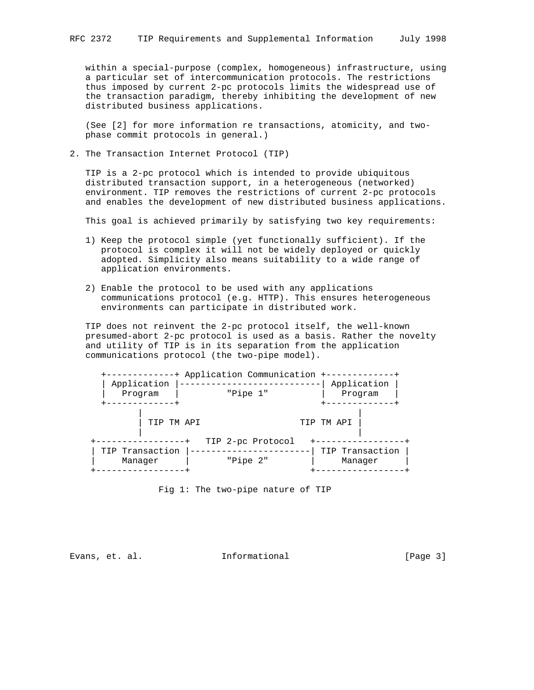within a special-purpose (complex, homogeneous) infrastructure, using a particular set of intercommunication protocols. The restrictions thus imposed by current 2-pc protocols limits the widespread use of the transaction paradigm, thereby inhibiting the development of new distributed business applications.

 (See [2] for more information re transactions, atomicity, and two phase commit protocols in general.)

2. The Transaction Internet Protocol (TIP)

 TIP is a 2-pc protocol which is intended to provide ubiquitous distributed transaction support, in a heterogeneous (networked) environment. TIP removes the restrictions of current 2-pc protocols and enables the development of new distributed business applications.

This goal is achieved primarily by satisfying two key requirements:

- 1) Keep the protocol simple (yet functionally sufficient). If the protocol is complex it will not be widely deployed or quickly adopted. Simplicity also means suitability to a wide range of application environments.
- 2) Enable the protocol to be used with any applications communications protocol (e.g. HTTP). This ensures heterogeneous environments can participate in distributed work.

 TIP does not reinvent the 2-pc protocol itself, the well-known presumed-abort 2-pc protocol is used as a basis. Rather the novelty and utility of TIP is in its separation from the application communications protocol (the two-pipe model).

| Application Communication + |             |                 |  |  |
|-----------------------------|-------------|-----------------|--|--|
| Application                 | Application |                 |  |  |
| Program                     | "Pipe 1"    | Program         |  |  |
|                             |             |                 |  |  |
|                             |             |                 |  |  |
|                             | TIP TM APT  | TIP TM API      |  |  |
|                             |             |                 |  |  |
| TIP 2-pc Protocol           |             |                 |  |  |
| TIP Transaction             |             | TIP Transaction |  |  |
| Manager                     | "Pipe 2"    | Manager         |  |  |
|                             |             |                 |  |  |

Fig 1: The two-pipe nature of TIP

Evans, et. al. **Informational** [Page 3]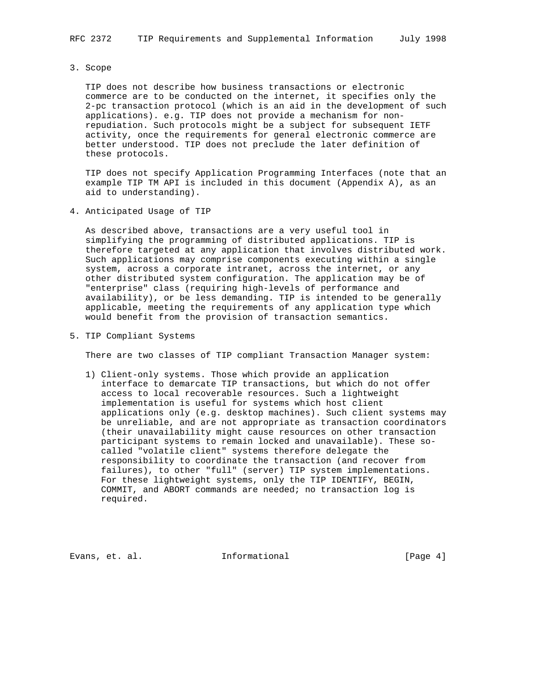3. Scope

 TIP does not describe how business transactions or electronic commerce are to be conducted on the internet, it specifies only the 2-pc transaction protocol (which is an aid in the development of such applications). e.g. TIP does not provide a mechanism for non repudiation. Such protocols might be a subject for subsequent IETF activity, once the requirements for general electronic commerce are better understood. TIP does not preclude the later definition of these protocols.

 TIP does not specify Application Programming Interfaces (note that an example TIP TM API is included in this document (Appendix A), as an aid to understanding).

4. Anticipated Usage of TIP

 As described above, transactions are a very useful tool in simplifying the programming of distributed applications. TIP is therefore targeted at any application that involves distributed work. Such applications may comprise components executing within a single system, across a corporate intranet, across the internet, or any other distributed system configuration. The application may be of "enterprise" class (requiring high-levels of performance and availability), or be less demanding. TIP is intended to be generally applicable, meeting the requirements of any application type which would benefit from the provision of transaction semantics.

5. TIP Compliant Systems

There are two classes of TIP compliant Transaction Manager system:

 1) Client-only systems. Those which provide an application interface to demarcate TIP transactions, but which do not offer access to local recoverable resources. Such a lightweight implementation is useful for systems which host client applications only (e.g. desktop machines). Such client systems may be unreliable, and are not appropriate as transaction coordinators (their unavailability might cause resources on other transaction participant systems to remain locked and unavailable). These so called "volatile client" systems therefore delegate the responsibility to coordinate the transaction (and recover from failures), to other "full" (server) TIP system implementations. For these lightweight systems, only the TIP IDENTIFY, BEGIN, COMMIT, and ABORT commands are needed; no transaction log is required.

Evans, et. al. 1nformational 1999 (Page 4)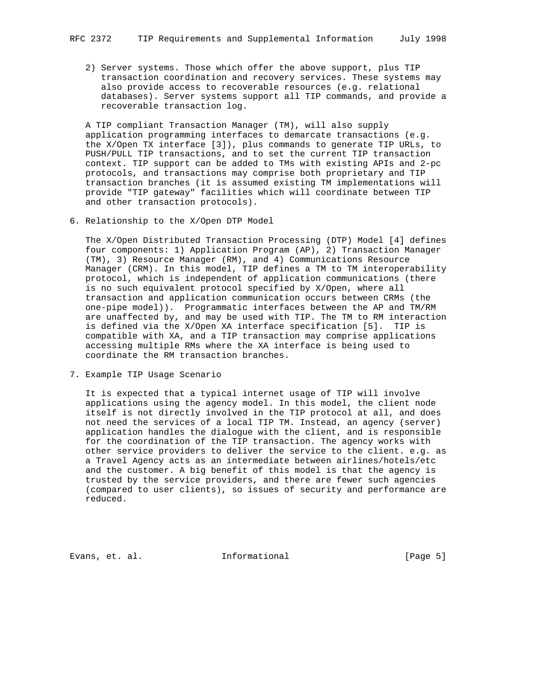2) Server systems. Those which offer the above support, plus TIP transaction coordination and recovery services. These systems may also provide access to recoverable resources (e.g. relational databases). Server systems support all TIP commands, and provide a recoverable transaction log.

 A TIP compliant Transaction Manager (TM), will also supply application programming interfaces to demarcate transactions (e.g. the X/Open TX interface [3]), plus commands to generate TIP URLs, to PUSH/PULL TIP transactions, and to set the current TIP transaction context. TIP support can be added to TMs with existing APIs and 2-pc protocols, and transactions may comprise both proprietary and TIP transaction branches (it is assumed existing TM implementations will provide "TIP gateway" facilities which will coordinate between TIP and other transaction protocols).

6. Relationship to the X/Open DTP Model

 The X/Open Distributed Transaction Processing (DTP) Model [4] defines four components: 1) Application Program (AP), 2) Transaction Manager (TM), 3) Resource Manager (RM), and 4) Communications Resource Manager (CRM). In this model, TIP defines a TM to TM interoperability protocol, which is independent of application communications (there is no such equivalent protocol specified by X/Open, where all transaction and application communication occurs between CRMs (the one-pipe model)). Programmatic interfaces between the AP and TM/RM are unaffected by, and may be used with TIP. The TM to RM interaction is defined via the X/Open XA interface specification [5]. TIP is compatible with XA, and a TIP transaction may comprise applications accessing multiple RMs where the XA interface is being used to coordinate the RM transaction branches.

7. Example TIP Usage Scenario

 It is expected that a typical internet usage of TIP will involve applications using the agency model. In this model, the client node itself is not directly involved in the TIP protocol at all, and does not need the services of a local TIP TM. Instead, an agency (server) application handles the dialogue with the client, and is responsible for the coordination of the TIP transaction. The agency works with other service providers to deliver the service to the client. e.g. as a Travel Agency acts as an intermediate between airlines/hotels/etc and the customer. A big benefit of this model is that the agency is trusted by the service providers, and there are fewer such agencies (compared to user clients), so issues of security and performance are reduced.

Evans, et. al. **Informational** [Page 5]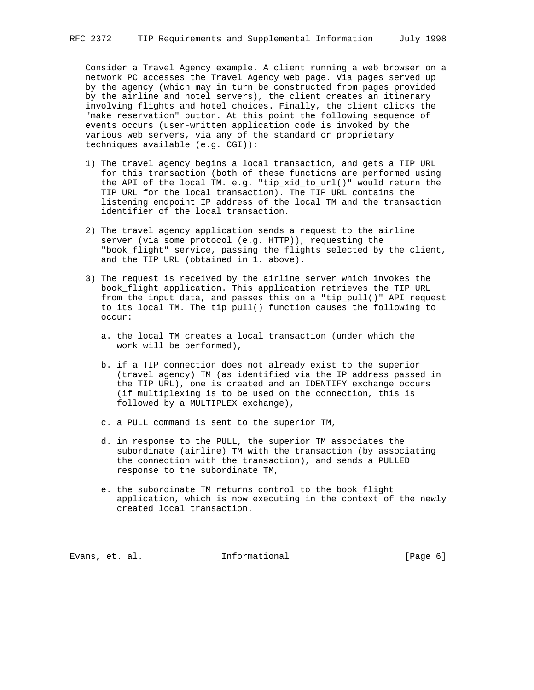Consider a Travel Agency example. A client running a web browser on a network PC accesses the Travel Agency web page. Via pages served up by the agency (which may in turn be constructed from pages provided by the airline and hotel servers), the client creates an itinerary involving flights and hotel choices. Finally, the client clicks the "make reservation" button. At this point the following sequence of events occurs (user-written application code is invoked by the various web servers, via any of the standard or proprietary techniques available (e.g. CGI)):

- 1) The travel agency begins a local transaction, and gets a TIP URL for this transaction (both of these functions are performed using the API of the local TM. e.g. "tip\_xid\_to\_url()" would return the TIP URL for the local transaction). The TIP URL contains the listening endpoint IP address of the local TM and the transaction identifier of the local transaction.
- 2) The travel agency application sends a request to the airline server (via some protocol (e.g. HTTP)), requesting the "book\_flight" service, passing the flights selected by the client, and the TIP URL (obtained in 1. above).
- 3) The request is received by the airline server which invokes the book\_flight application. This application retrieves the TIP URL from the input data, and passes this on a "tip\_pull()" API request to its local TM. The tip\_pull() function causes the following to occur:
	- a. the local TM creates a local transaction (under which the work will be performed),
	- b. if a TIP connection does not already exist to the superior (travel agency) TM (as identified via the IP address passed in the TIP URL), one is created and an IDENTIFY exchange occurs (if multiplexing is to be used on the connection, this is followed by a MULTIPLEX exchange),
	- c. a PULL command is sent to the superior TM,
	- d. in response to the PULL, the superior TM associates the subordinate (airline) TM with the transaction (by associating the connection with the transaction), and sends a PULLED response to the subordinate TM,
	- e. the subordinate TM returns control to the book\_flight application, which is now executing in the context of the newly created local transaction.

Evans, et. al. **Informational** [Page 6]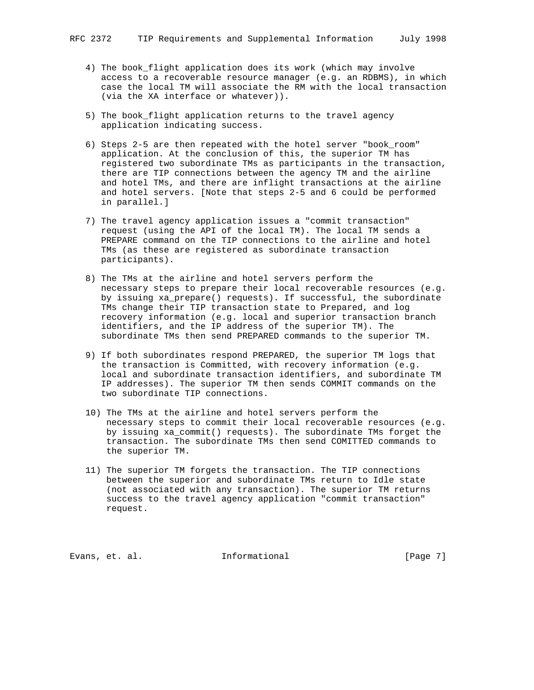- 4) The book\_flight application does its work (which may involve access to a recoverable resource manager (e.g. an RDBMS), in which case the local TM will associate the RM with the local transaction (via the XA interface or whatever)).
- 5) The book\_flight application returns to the travel agency application indicating success.
- 6) Steps 2-5 are then repeated with the hotel server "book\_room" application. At the conclusion of this, the superior TM has registered two subordinate TMs as participants in the transaction, there are TIP connections between the agency TM and the airline and hotel TMs, and there are inflight transactions at the airline and hotel servers. [Note that steps 2-5 and 6 could be performed in parallel.]
- 7) The travel agency application issues a "commit transaction" request (using the API of the local TM). The local TM sends a PREPARE command on the TIP connections to the airline and hotel TMs (as these are registered as subordinate transaction participants).
- 8) The TMs at the airline and hotel servers perform the necessary steps to prepare their local recoverable resources (e.g. by issuing xa\_prepare() requests). If successful, the subordinate TMs change their TIP transaction state to Prepared, and log recovery information (e.g. local and superior transaction branch identifiers, and the IP address of the superior TM). The subordinate TMs then send PREPARED commands to the superior TM.
- 9) If both subordinates respond PREPARED, the superior TM logs that the transaction is Committed, with recovery information (e.g. local and subordinate transaction identifiers, and subordinate TM IP addresses). The superior TM then sends COMMIT commands on the two subordinate TIP connections.
- 10) The TMs at the airline and hotel servers perform the necessary steps to commit their local recoverable resources (e.g. by issuing xa\_commit() requests). The subordinate TMs forget the transaction. The subordinate TMs then send COMITTED commands to the superior TM.
- 11) The superior TM forgets the transaction. The TIP connections between the superior and subordinate TMs return to Idle state (not associated with any transaction). The superior TM returns success to the travel agency application "commit transaction" request.

Evans, et. al. **Informational** [Page 7]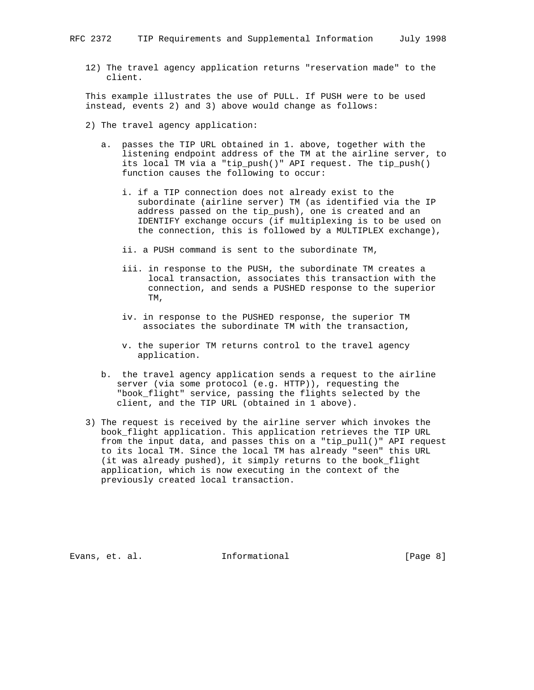12) The travel agency application returns "reservation made" to the client.

 This example illustrates the use of PULL. If PUSH were to be used instead, events 2) and 3) above would change as follows:

- 2) The travel agency application:
	- a. passes the TIP URL obtained in 1. above, together with the listening endpoint address of the TM at the airline server, to its local TM via a "tip\_push()" API request. The tip\_push() function causes the following to occur:
		- i. if a TIP connection does not already exist to the subordinate (airline server) TM (as identified via the IP address passed on the tip\_push), one is created and an IDENTIFY exchange occurs (if multiplexing is to be used on the connection, this is followed by a MULTIPLEX exchange),
		- ii. a PUSH command is sent to the subordinate TM,
		- iii. in response to the PUSH, the subordinate TM creates a local transaction, associates this transaction with the connection, and sends a PUSHED response to the superior TM,
		- iv. in response to the PUSHED response, the superior TM associates the subordinate TM with the transaction,
		- v. the superior TM returns control to the travel agency application.
	- b. the travel agency application sends a request to the airline server (via some protocol (e.g. HTTP)), requesting the "book\_flight" service, passing the flights selected by the client, and the TIP URL (obtained in 1 above).
- 3) The request is received by the airline server which invokes the book\_flight application. This application retrieves the TIP URL from the input data, and passes this on a "tip\_pull()" API request to its local TM. Since the local TM has already "seen" this URL (it was already pushed), it simply returns to the book\_flight application, which is now executing in the context of the previously created local transaction.

Evans, et. al. **Informational** [Page 8]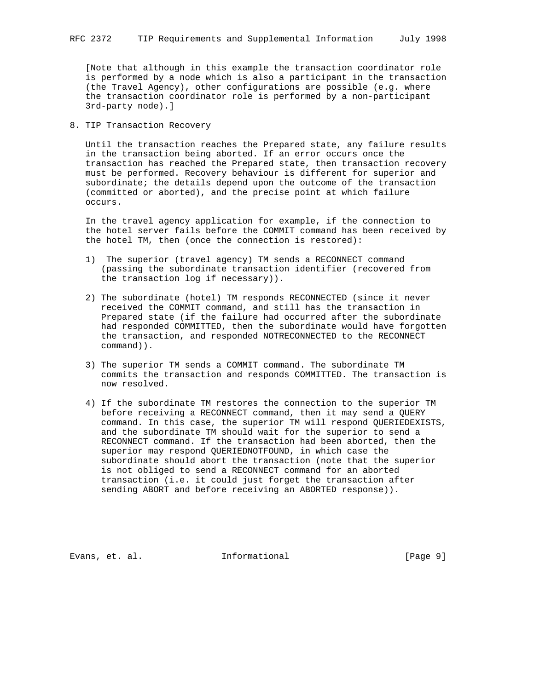[Note that although in this example the transaction coordinator role is performed by a node which is also a participant in the transaction (the Travel Agency), other configurations are possible (e.g. where the transaction coordinator role is performed by a non-participant 3rd-party node).]

8. TIP Transaction Recovery

 Until the transaction reaches the Prepared state, any failure results in the transaction being aborted. If an error occurs once the transaction has reached the Prepared state, then transaction recovery must be performed. Recovery behaviour is different for superior and subordinate; the details depend upon the outcome of the transaction (committed or aborted), and the precise point at which failure occurs.

 In the travel agency application for example, if the connection to the hotel server fails before the COMMIT command has been received by the hotel TM, then (once the connection is restored):

- 1) The superior (travel agency) TM sends a RECONNECT command (passing the subordinate transaction identifier (recovered from the transaction log if necessary)).
- 2) The subordinate (hotel) TM responds RECONNECTED (since it never received the COMMIT command, and still has the transaction in Prepared state (if the failure had occurred after the subordinate had responded COMMITTED, then the subordinate would have forgotten the transaction, and responded NOTRECONNECTED to the RECONNECT command)).
- 3) The superior TM sends a COMMIT command. The subordinate TM commits the transaction and responds COMMITTED. The transaction is now resolved.
- 4) If the subordinate TM restores the connection to the superior TM before receiving a RECONNECT command, then it may send a QUERY command. In this case, the superior TM will respond QUERIEDEXISTS, and the subordinate TM should wait for the superior to send a RECONNECT command. If the transaction had been aborted, then the superior may respond QUERIEDNOTFOUND, in which case the subordinate should abort the transaction (note that the superior is not obliged to send a RECONNECT command for an aborted transaction (i.e. it could just forget the transaction after sending ABORT and before receiving an ABORTED response)).

Evans, et. al. **Informational** [Page 9]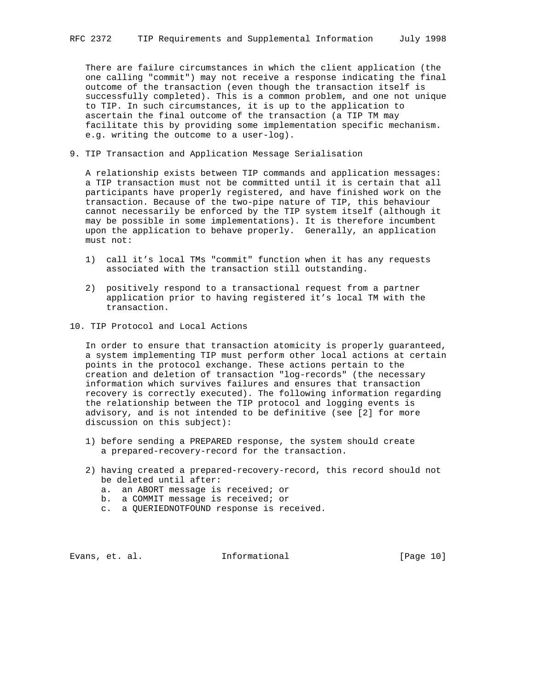There are failure circumstances in which the client application (the one calling "commit") may not receive a response indicating the final outcome of the transaction (even though the transaction itself is successfully completed). This is a common problem, and one not unique to TIP. In such circumstances, it is up to the application to ascertain the final outcome of the transaction (a TIP TM may facilitate this by providing some implementation specific mechanism. e.g. writing the outcome to a user-log).

9. TIP Transaction and Application Message Serialisation

 A relationship exists between TIP commands and application messages: a TIP transaction must not be committed until it is certain that all participants have properly registered, and have finished work on the transaction. Because of the two-pipe nature of TIP, this behaviour cannot necessarily be enforced by the TIP system itself (although it may be possible in some implementations). It is therefore incumbent upon the application to behave properly. Generally, an application must not:

- 1) call it's local TMs "commit" function when it has any requests associated with the transaction still outstanding.
- 2) positively respond to a transactional request from a partner application prior to having registered it's local TM with the transaction.
- 10. TIP Protocol and Local Actions

 In order to ensure that transaction atomicity is properly guaranteed, a system implementing TIP must perform other local actions at certain points in the protocol exchange. These actions pertain to the creation and deletion of transaction "log-records" (the necessary information which survives failures and ensures that transaction recovery is correctly executed). The following information regarding the relationship between the TIP protocol and logging events is advisory, and is not intended to be definitive (see [2] for more discussion on this subject):

- 1) before sending a PREPARED response, the system should create a prepared-recovery-record for the transaction.
- 2) having created a prepared-recovery-record, this record should not be deleted until after:
	- a. an ABORT message is received; or
	- b. a COMMIT message is received; or
	- c. a QUERIEDNOTFOUND response is received.

Evans, et. al. **Informational** [Page 10]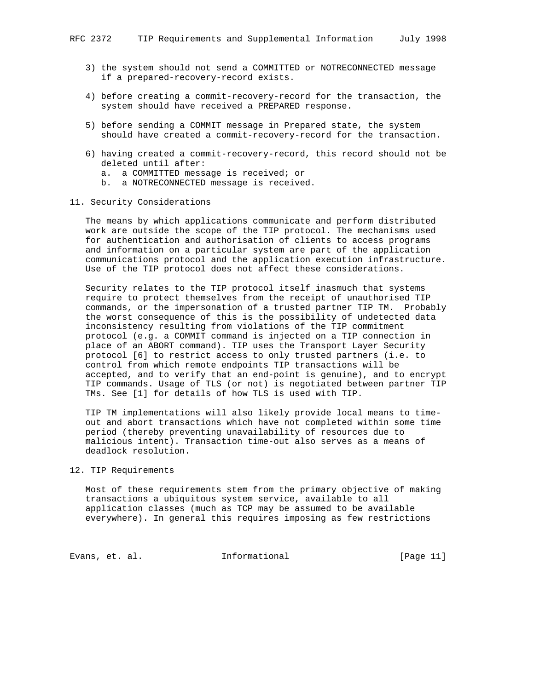- 3) the system should not send a COMMITTED or NOTRECONNECTED message if a prepared-recovery-record exists.
- 4) before creating a commit-recovery-record for the transaction, the system should have received a PREPARED response.
- 5) before sending a COMMIT message in Prepared state, the system should have created a commit-recovery-record for the transaction.
- 6) having created a commit-recovery-record, this record should not be deleted until after:
	- a. a COMMITTED message is received; or
	- b. a NOTRECONNECTED message is received.

### 11. Security Considerations

 The means by which applications communicate and perform distributed work are outside the scope of the TIP protocol. The mechanisms used for authentication and authorisation of clients to access programs and information on a particular system are part of the application communications protocol and the application execution infrastructure. Use of the TIP protocol does not affect these considerations.

 Security relates to the TIP protocol itself inasmuch that systems require to protect themselves from the receipt of unauthorised TIP commands, or the impersonation of a trusted partner TIP TM. Probably the worst consequence of this is the possibility of undetected data inconsistency resulting from violations of the TIP commitment protocol (e.g. a COMMIT command is injected on a TIP connection in place of an ABORT command). TIP uses the Transport Layer Security protocol [6] to restrict access to only trusted partners (i.e. to control from which remote endpoints TIP transactions will be accepted, and to verify that an end-point is genuine), and to encrypt TIP commands. Usage of TLS (or not) is negotiated between partner TIP TMs. See [1] for details of how TLS is used with TIP.

 TIP TM implementations will also likely provide local means to time out and abort transactions which have not completed within some time period (thereby preventing unavailability of resources due to malicious intent). Transaction time-out also serves as a means of deadlock resolution.

## 12. TIP Requirements

 Most of these requirements stem from the primary objective of making transactions a ubiquitous system service, available to all application classes (much as TCP may be assumed to be available everywhere). In general this requires imposing as few restrictions

Evans, et. al. 10. Informational 1. [Page 11]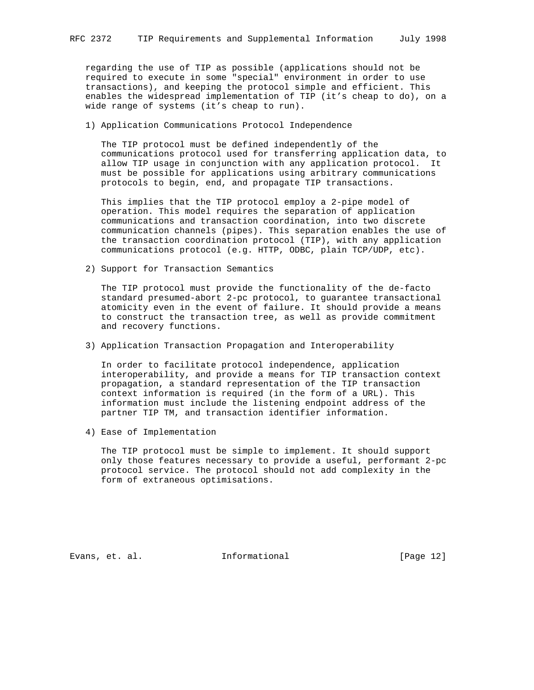regarding the use of TIP as possible (applications should not be required to execute in some "special" environment in order to use transactions), and keeping the protocol simple and efficient. This enables the widespread implementation of TIP (it's cheap to do), on a wide range of systems (it's cheap to run).

1) Application Communications Protocol Independence

 The TIP protocol must be defined independently of the communications protocol used for transferring application data, to allow TIP usage in conjunction with any application protocol. It must be possible for applications using arbitrary communications protocols to begin, end, and propagate TIP transactions.

 This implies that the TIP protocol employ a 2-pipe model of operation. This model requires the separation of application communications and transaction coordination, into two discrete communication channels (pipes). This separation enables the use of the transaction coordination protocol (TIP), with any application communications protocol (e.g. HTTP, ODBC, plain TCP/UDP, etc).

2) Support for Transaction Semantics

 The TIP protocol must provide the functionality of the de-facto standard presumed-abort 2-pc protocol, to guarantee transactional atomicity even in the event of failure. It should provide a means to construct the transaction tree, as well as provide commitment and recovery functions.

3) Application Transaction Propagation and Interoperability

 In order to facilitate protocol independence, application interoperability, and provide a means for TIP transaction context propagation, a standard representation of the TIP transaction context information is required (in the form of a URL). This information must include the listening endpoint address of the partner TIP TM, and transaction identifier information.

4) Ease of Implementation

 The TIP protocol must be simple to implement. It should support only those features necessary to provide a useful, performant 2-pc protocol service. The protocol should not add complexity in the form of extraneous optimisations.

Evans, et. al. Informational [Page 12]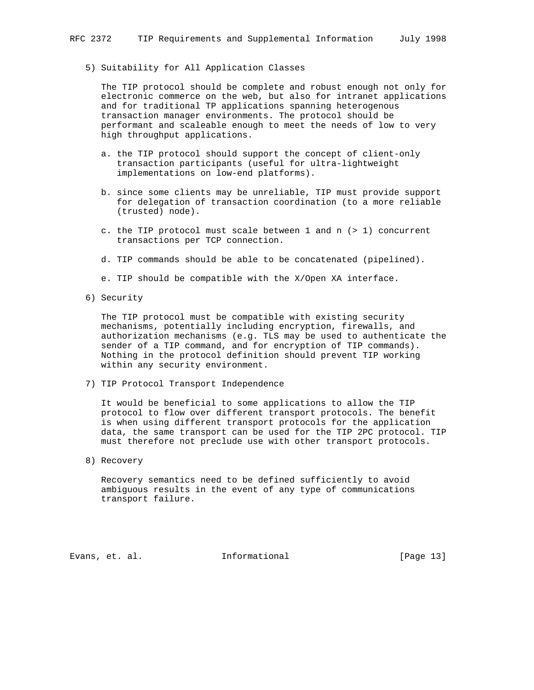### 5) Suitability for All Application Classes

 The TIP protocol should be complete and robust enough not only for electronic commerce on the web, but also for intranet applications and for traditional TP applications spanning heterogenous transaction manager environments. The protocol should be performant and scaleable enough to meet the needs of low to very high throughput applications.

- a. the TIP protocol should support the concept of client-only transaction participants (useful for ultra-lightweight implementations on low-end platforms).
- b. since some clients may be unreliable, TIP must provide support for delegation of transaction coordination (to a more reliable (trusted) node).
- c. the TIP protocol must scale between 1 and n (> 1) concurrent transactions per TCP connection.
- d. TIP commands should be able to be concatenated (pipelined).
- e. TIP should be compatible with the X/Open XA interface.
- 6) Security

 The TIP protocol must be compatible with existing security mechanisms, potentially including encryption, firewalls, and authorization mechanisms (e.g. TLS may be used to authenticate the sender of a TIP command, and for encryption of TIP commands). Nothing in the protocol definition should prevent TIP working within any security environment.

7) TIP Protocol Transport Independence

 It would be beneficial to some applications to allow the TIP protocol to flow over different transport protocols. The benefit is when using different transport protocols for the application data, the same transport can be used for the TIP 2PC protocol. TIP must therefore not preclude use with other transport protocols.

8) Recovery

 Recovery semantics need to be defined sufficiently to avoid ambiguous results in the event of any type of communications transport failure.

Evans, et. al. Informational [Page 13]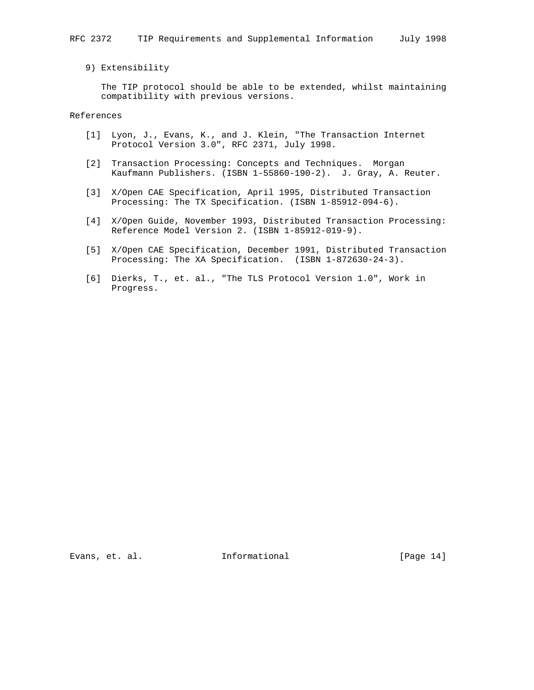# 9) Extensibility

 The TIP protocol should be able to be extended, whilst maintaining compatibility with previous versions.

References

- [1] Lyon, J., Evans, K., and J. Klein, "The Transaction Internet Protocol Version 3.0", RFC 2371, July 1998.
- [2] Transaction Processing: Concepts and Techniques. Morgan Kaufmann Publishers. (ISBN 1-55860-190-2). J. Gray, A. Reuter.
- [3] X/Open CAE Specification, April 1995, Distributed Transaction Processing: The TX Specification. (ISBN 1-85912-094-6).
- [4] X/Open Guide, November 1993, Distributed Transaction Processing: Reference Model Version 2. (ISBN 1-85912-019-9).
- [5] X/Open CAE Specification, December 1991, Distributed Transaction Processing: The XA Specification. (ISBN 1-872630-24-3).
- [6] Dierks, T., et. al., "The TLS Protocol Version 1.0", Work in Progress.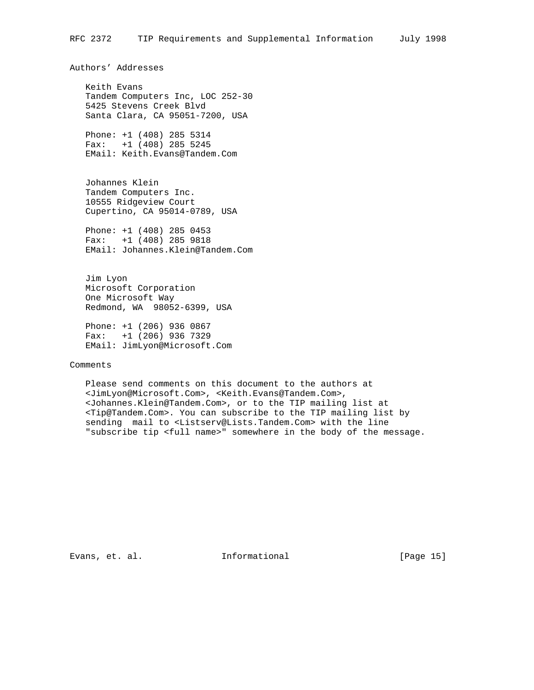Authors' Addresses

 Keith Evans Tandem Computers Inc, LOC 252-30 5425 Stevens Creek Blvd Santa Clara, CA 95051-7200, USA

 Phone: +1 (408) 285 5314 Fax: +1 (408) 285 5245 EMail: Keith.Evans@Tandem.Com

 Johannes Klein Tandem Computers Inc. 10555 Ridgeview Court Cupertino, CA 95014-0789, USA

 Phone: +1 (408) 285 0453 Fax: +1 (408) 285 9818 EMail: Johannes.Klein@Tandem.Com

 Jim Lyon Microsoft Corporation One Microsoft Way Redmond, WA 98052-6399, USA

 Phone: +1 (206) 936 0867 Fax: +1 (206) 936 7329 EMail: JimLyon@Microsoft.Com

Comments

 Please send comments on this document to the authors at <JimLyon@Microsoft.Com>, <Keith.Evans@Tandem.Com>, <Johannes.Klein@Tandem.Com>, or to the TIP mailing list at <Tip@Tandem.Com>. You can subscribe to the TIP mailing list by sending mail to <Listserv@Lists.Tandem.Com> with the line "subscribe tip <full name>" somewhere in the body of the message.

Evans, et. al. 10 Informational 1999 [Page 15]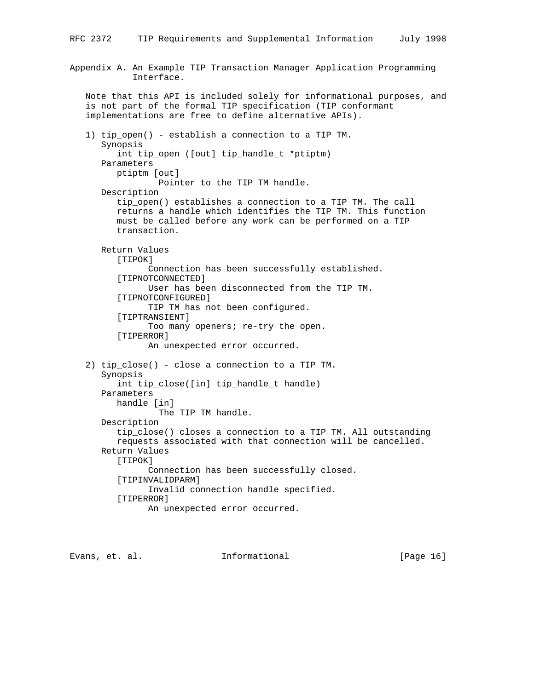```
Appendix A. An Example TIP Transaction Manager Application Programming
             Interface.
    Note that this API is included solely for informational purposes, and
    is not part of the formal TIP specification (TIP conformant
    implementations are free to define alternative APIs).
    1) tip_open() - establish a connection to a TIP TM.
       Synopsis
          int tip_open ([out] tip_handle_t *ptiptm)
       Parameters
          ptiptm [out]
                  Pointer to the TIP TM handle.
       Description
          tip_open() establishes a connection to a TIP TM. The call
          returns a handle which identifies the TIP TM. This function
          must be called before any work can be performed on a TIP
          transaction.
       Return Values
          [TIPOK]
                Connection has been successfully established.
          [TIPNOTCONNECTED]
                User has been disconnected from the TIP TM.
          [TIPNOTCONFIGURED]
                TIP TM has not been configured.
          [TIPTRANSIENT]
               Too many openers; re-try the open.
          [TIPERROR]
                An unexpected error occurred.
    2) tip_close() - close a connection to a TIP TM.
       Synopsis
         int tip close([in] tip handle t handle)
       Parameters
          handle [in]
                 The TIP TM handle.
       Description
          tip_close() closes a connection to a TIP TM. All outstanding
          requests associated with that connection will be cancelled.
       Return Values
         [TIPOK]
                Connection has been successfully closed.
          [TIPINVALIDPARM]
                Invalid connection handle specified.
          [TIPERROR]
                An unexpected error occurred.
```
Evans, et. al. Informational [Page 16]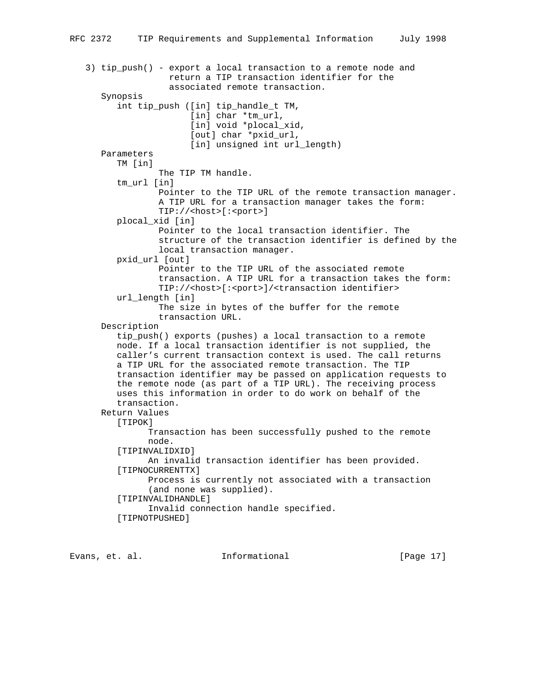```
 3) tip_push() - export a local transaction to a remote node and
                 return a TIP transaction identifier for the
                 associated remote transaction.
    Synopsis
       int tip_push ([in] tip_handle_t TM,
                    [in] char *tm_url,
                     [in] void *plocal_xid,
                     [out] char *pxid_url,
                    [in] unsigned int url_length)
    Parameters
       TM [in]
               The TIP TM handle.
       tm_url [in]
               Pointer to the TIP URL of the remote transaction manager.
               A TIP URL for a transaction manager takes the form:
               TIP://<host>[:<port>]
       plocal_xid [in]
               Pointer to the local transaction identifier. The
               structure of the transaction identifier is defined by the
               local transaction manager.
       pxid_url [out]
               Pointer to the TIP URL of the associated remote
               transaction. A TIP URL for a transaction takes the form:
               TIP://<host>[:<port>]/<transaction identifier>
       url_length [in]
               The size in bytes of the buffer for the remote
               transaction URL.
    Description
       tip_push() exports (pushes) a local transaction to a remote
       node. If a local transaction identifier is not supplied, the
       caller's current transaction context is used. The call returns
       a TIP URL for the associated remote transaction. The TIP
       transaction identifier may be passed on application requests to
       the remote node (as part of a TIP URL). The receiving process
       uses this information in order to do work on behalf of the
       transaction.
    Return Values
       [TIPOK]
             Transaction has been successfully pushed to the remote
             node.
       [TIPINVALIDXID]
             An invalid transaction identifier has been provided.
       [TIPNOCURRENTTX]
             Process is currently not associated with a transaction
             (and none was supplied).
       [TIPINVALIDHANDLE]
             Invalid connection handle specified.
       [TIPNOTPUSHED]
```
Evans, et. al. Informational [Page 17]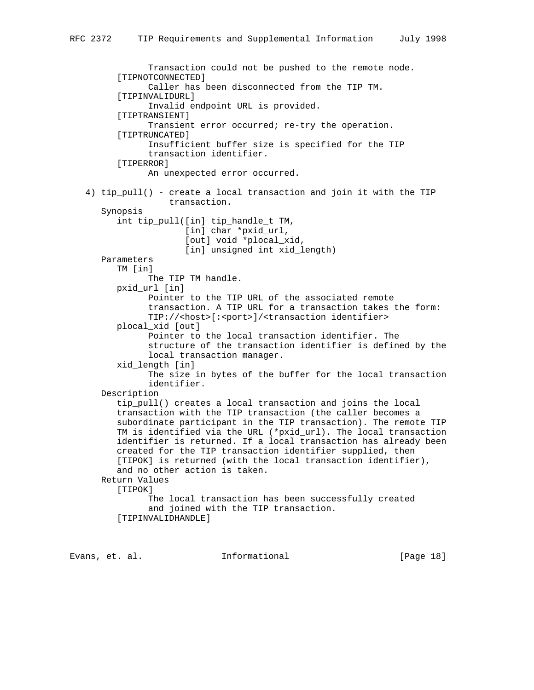```
 Transaction could not be pushed to the remote node.
       [TIPNOTCONNECTED]
             Caller has been disconnected from the TIP TM.
       [TIPINVALIDURL]
             Invalid endpoint URL is provided.
       [TIPTRANSIENT]
             Transient error occurred; re-try the operation.
       [TIPTRUNCATED]
             Insufficient buffer size is specified for the TIP
             transaction identifier.
       [TIPERROR]
             An unexpected error occurred.
 4) tip_pull() - create a local transaction and join it with the TIP
                 transaction.
    Synopsis
       int tip_pull([in] tip_handle_t TM,
                   [in] char *pxid_url,
                    [out] void *plocal_xid,
                    [in] unsigned int xid_length)
    Parameters
       TM [in]
             The TIP TM handle.
       pxid_url [in]
             Pointer to the TIP URL of the associated remote
             transaction. A TIP URL for a transaction takes the form:
             TIP://<host>[:<port>]/<transaction identifier>
       plocal_xid [out]
             Pointer to the local transaction identifier. The
             structure of the transaction identifier is defined by the
             local transaction manager.
       xid_length [in]
             The size in bytes of the buffer for the local transaction
             identifier.
    Description
       tip_pull() creates a local transaction and joins the local
       transaction with the TIP transaction (the caller becomes a
       subordinate participant in the TIP transaction). The remote TIP
       TM is identified via the URL (*pxid_url). The local transaction
       identifier is returned. If a local transaction has already been
       created for the TIP transaction identifier supplied, then
       [TIPOK] is returned (with the local transaction identifier),
       and no other action is taken.
    Return Values
       [TIPOK]
             The local transaction has been successfully created
             and joined with the TIP transaction.
       [TIPINVALIDHANDLE]
```
Evans, et. al. 10 mm informational 1999 [Page 18]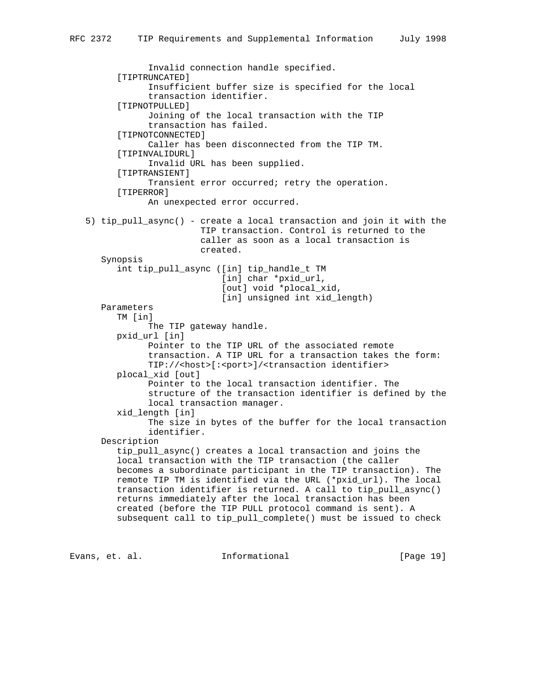```
 Invalid connection handle specified.
       [TIPTRUNCATED]
             Insufficient buffer size is specified for the local
             transaction identifier.
       [TIPNOTPULLED]
             Joining of the local transaction with the TIP
             transaction has failed.
       [TIPNOTCONNECTED]
             Caller has been disconnected from the TIP TM.
       [TIPINVALIDURL]
             Invalid URL has been supplied.
       [TIPTRANSIENT]
             Transient error occurred; retry the operation.
       [TIPERROR]
             An unexpected error occurred.
 5) tip_pull_async() - create a local transaction and join it with the
                       TIP transaction. Control is returned to the
                       caller as soon as a local transaction is
                       created.
    Synopsis
       int tip_pull_async ([in] tip_handle_t TM
                           [in] char *pxid_url,
                            [out] void *plocal_xid,
                          [in] unsigned int xid_length)
    Parameters
       TM [in]
             The TIP gateway handle.
       pxid_url [in]
             Pointer to the TIP URL of the associated remote
             transaction. A TIP URL for a transaction takes the form:
             TIP://<host>[:<port>]/<transaction identifier>
       plocal_xid [out]
             Pointer to the local transaction identifier. The
             structure of the transaction identifier is defined by the
             local transaction manager.
       xid_length [in]
             The size in bytes of the buffer for the local transaction
             identifier.
    Description
       tip_pull_async() creates a local transaction and joins the
       local transaction with the TIP transaction (the caller
       becomes a subordinate participant in the TIP transaction). The
       remote TIP TM is identified via the URL (*pxid_url). The local
       transaction identifier is returned. A call to tip_pull_async()
       returns immediately after the local transaction has been
       created (before the TIP PULL protocol command is sent). A
       subsequent call to tip_pull_complete() must be issued to check
```
Evans, et. al. Informational [Page 19]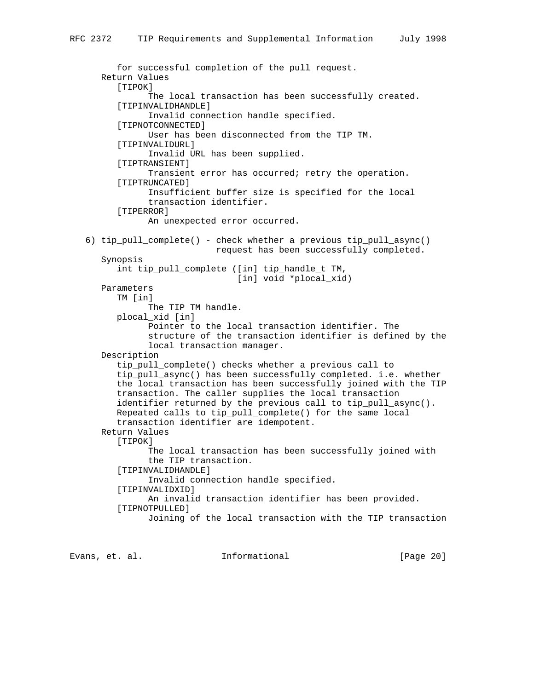```
 for successful completion of the pull request.
    Return Values
       [TIPOK]
             The local transaction has been successfully created.
       [TIPINVALIDHANDLE]
             Invalid connection handle specified.
       [TIPNOTCONNECTED]
             User has been disconnected from the TIP TM.
       [TIPINVALIDURL]
             Invalid URL has been supplied.
       [TIPTRANSIENT]
             Transient error has occurred; retry the operation.
       [TIPTRUNCATED]
             Insufficient buffer size is specified for the local
             transaction identifier.
       [TIPERROR]
             An unexpected error occurred.
 6) tip_pull_complete() - check whether a previous tip_pull_async()
                          request has been successfully completed.
    Synopsis
       int tip_pull_complete ([in] tip_handle_t TM,
                               [in] void *plocal_xid)
    Parameters
       TM [in]
             The TIP TM handle.
       plocal_xid [in]
             Pointer to the local transaction identifier. The
             structure of the transaction identifier is defined by the
             local transaction manager.
    Description
       tip_pull_complete() checks whether a previous call to
       tip_pull_async() has been successfully completed. i.e. whether
       the local transaction has been successfully joined with the TIP
       transaction. The caller supplies the local transaction
       identifier returned by the previous call to tip_pull_async().
       Repeated calls to tip_pull_complete() for the same local
       transaction identifier are idempotent.
    Return Values
      [TIPOK]
             The local transaction has been successfully joined with
             the TIP transaction.
       [TIPINVALIDHANDLE]
             Invalid connection handle specified.
       [TIPINVALIDXID]
             An invalid transaction identifier has been provided.
       [TIPNOTPULLED]
             Joining of the local transaction with the TIP transaction
```
Evans, et. al. 1nformational [Page 20]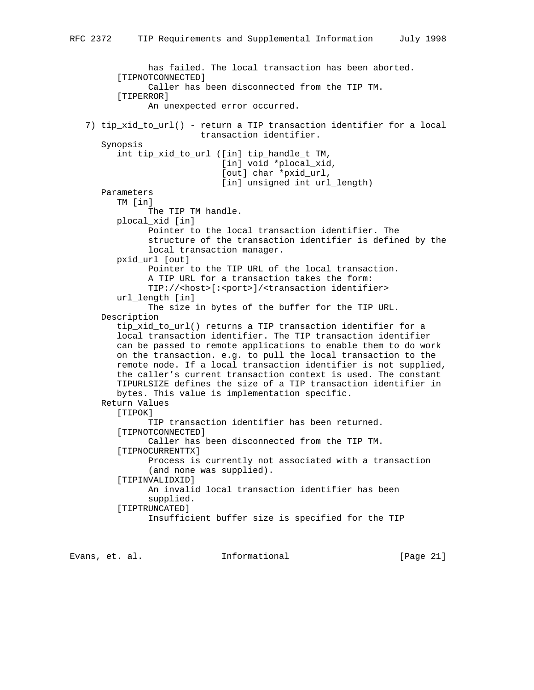```
 has failed. The local transaction has been aborted.
       [TIPNOTCONNECTED]
             Caller has been disconnected from the TIP TM.
       [TIPERROR]
             An unexpected error occurred.
 7) tip_xid_to_url() - return a TIP transaction identifier for a local
                       transaction identifier.
    Synopsis
       int tip_xid_to_url ([in] tip_handle_t TM,
                            [in] void *plocal_xid,
                            [out] char *pxid_url,
                          [in] unsigned int url_length)
    Parameters
       TM [in]
             The TIP TM handle.
       plocal_xid [in]
             Pointer to the local transaction identifier. The
             structure of the transaction identifier is defined by the
             local transaction manager.
       pxid_url [out]
             Pointer to the TIP URL of the local transaction.
             A TIP URL for a transaction takes the form:
             TIP://<host>[:<port>]/<transaction identifier>
       url_length [in]
             The size in bytes of the buffer for the TIP URL.
    Description
      tip xid to url() returns a TIP transaction identifier for a
       local transaction identifier. The TIP transaction identifier
       can be passed to remote applications to enable them to do work
       on the transaction. e.g. to pull the local transaction to the
       remote node. If a local transaction identifier is not supplied,
       the caller's current transaction context is used. The constant
       TIPURLSIZE defines the size of a TIP transaction identifier in
      bytes. This value is implementation specific.
   Return Values
      [TIPOK]
             TIP transaction identifier has been returned.
       [TIPNOTCONNECTED]
             Caller has been disconnected from the TIP TM.
       [TIPNOCURRENTTX]
             Process is currently not associated with a transaction
             (and none was supplied).
       [TIPINVALIDXID]
             An invalid local transaction identifier has been
             supplied.
       [TIPTRUNCATED]
             Insufficient buffer size is specified for the TIP
```
Evans, et. al. Informational [Page 21]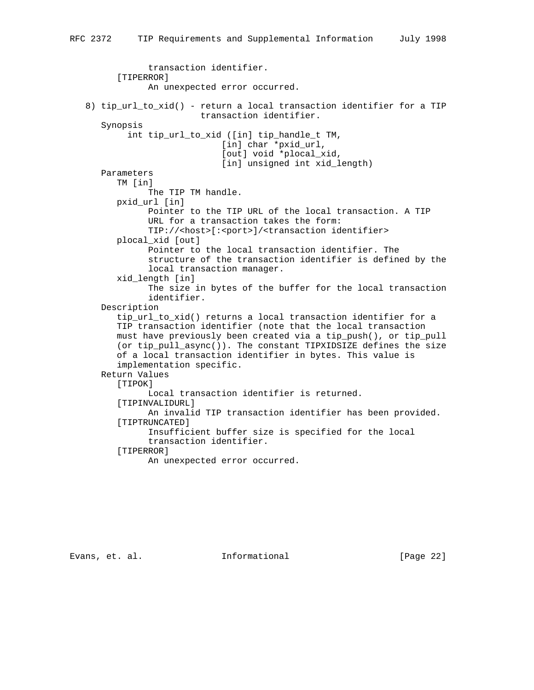```
 transaction identifier.
       [TIPERROR]
             An unexpected error occurred.
 8) tip_url_to_xid() - return a local transaction identifier for a TIP
                       transaction identifier.
    Synopsis
         int tip_url_to_xid ([in] tip_handle_t TM,
                            [in] char *pxid_url,
                            [out] void *plocal_xid,
                            [in] unsigned int xid_length)
    Parameters
       TM [in]
             The TIP TM handle.
       pxid_url [in]
             Pointer to the TIP URL of the local transaction. A TIP
             URL for a transaction takes the form:
             TIP://<host>[:<port>]/<transaction identifier>
       plocal_xid [out]
             Pointer to the local transaction identifier. The
             structure of the transaction identifier is defined by the
             local transaction manager.
       xid_length [in]
             The size in bytes of the buffer for the local transaction
             identifier.
    Description
       tip_url_to_xid() returns a local transaction identifier for a
       TIP transaction identifier (note that the local transaction
       must have previously been created via a tip_push(), or tip_pull
       (or tip_pull_async()). The constant TIPXIDSIZE defines the size
       of a local transaction identifier in bytes. This value is
       implementation specific.
    Return Values
      [TIPOK]
             Local transaction identifier is returned.
       [TIPINVALIDURL]
             An invalid TIP transaction identifier has been provided.
       [TIPTRUNCATED]
             Insufficient buffer size is specified for the local
             transaction identifier.
       [TIPERROR]
             An unexpected error occurred.
```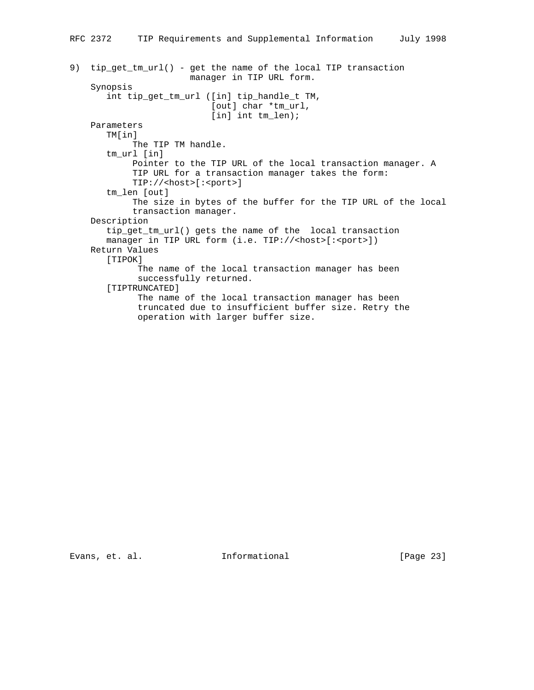```
RFC 2372 TIP Requirements and Supplemental Information July 1998
9) tip_get_tm_url() - get the name of the local TIP transaction
                        manager in TIP URL form.
     Synopsis
        int tip_get_tm_url ([in] tip_handle_t TM,
                            [out] char *tm_url,
                           [in] int tm_len);
     Parameters
        TM[in]
             The TIP TM handle.
        tm_url [in]
             Pointer to the TIP URL of the local transaction manager. A
             TIP URL for a transaction manager takes the form:
             TIP://<host>[:<port>]
        tm_len [out]
             The size in bytes of the buffer for the TIP URL of the local
             transaction manager.
     Description
        tip_get_tm_url() gets the name of the local transaction
       manager in TIP URL form (i.e. TIP://<host>[:<port>])
     Return Values
        [TIPOK]
              The name of the local transaction manager has been
```

```
 successfully returned.
 [TIPTRUNCATED]
```
 The name of the local transaction manager has been truncated due to insufficient buffer size. Retry the operation with larger buffer size.